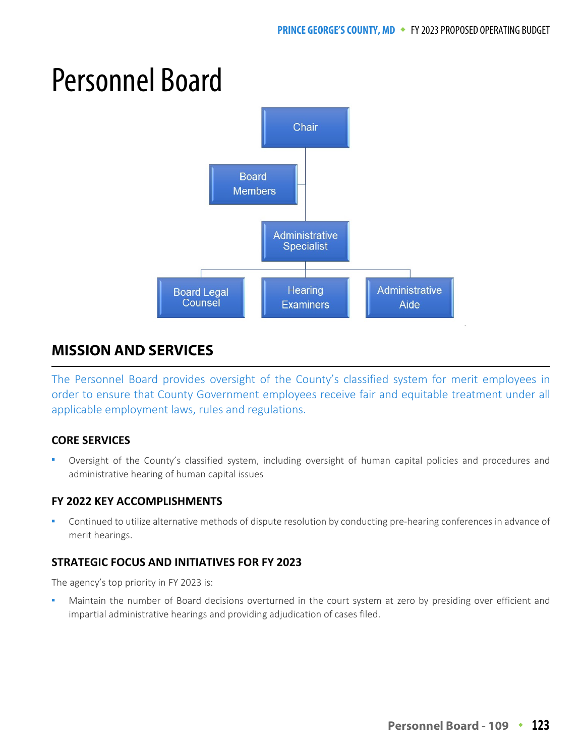# Personnel Board



# **MISSION AND SERVICES**

The Personnel Board provides oversight of the County's classified system for merit employees in order to ensure that County Government employees receive fair and equitable treatment under all applicable employment laws, rules and regulations.

#### **CORE SERVICES**

 Oversight of the County's classified system, including oversight of human capital policies and procedures and administrative hearing of human capital issues

#### **FY 2022 KEY ACCOMPLISHMENTS**

 Continued to utilize alternative methods of dispute resolution by conducting pre-hearing conferences in advance of merit hearings.

#### **STRATEGIC FOCUS AND INITIATIVES FOR FY 2023**

The agency's top priority in FY 2023 is:

 Maintain the number of Board decisions overturned in the court system at zero by presiding over efficient and impartial administrative hearings and providing adjudication of cases filed.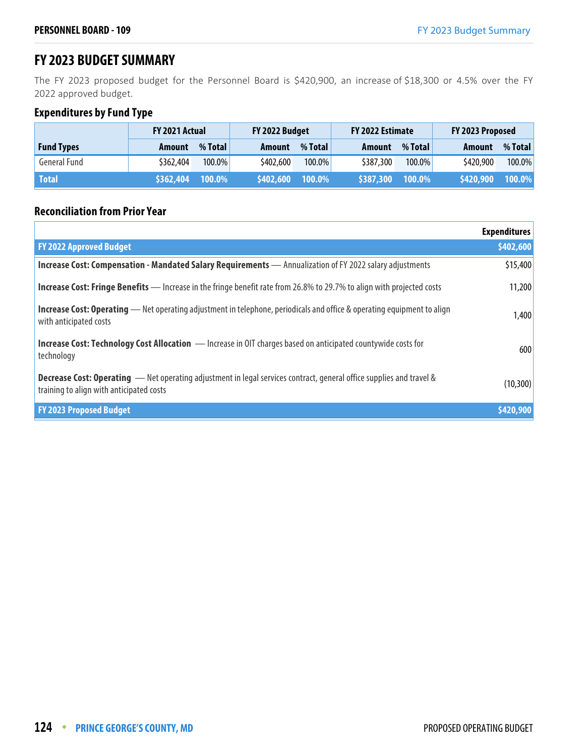### **FY 2023 BUDGET SUMMARY**

The FY 2023 proposed budget for the Personnel Board is \$420,900, an increase of \$18,300 or 4.5% over the FY 2022 approved budget.

#### **Expenditures by Fund Type**

|                     | FY 2021 Actual |         | FY 2022 Budget |         | FY 2022 Estimate |           | FY 2023 Proposed |         |
|---------------------|----------------|---------|----------------|---------|------------------|-----------|------------------|---------|
| <b>Fund Types</b>   | Amount         | % Total | Amount         | % Total | Amount           | % Total   | Amount           | % Total |
| <b>General Fund</b> | \$362,404      | 100.0%  | \$402,600      | 100.0%  | \$387,300        | $100.0\%$ | \$420,900        | 100.0%  |
| <b>Total</b>        | \$362,404      | 100.0%  | \$402,600      | 100.0%  | \$387,300        | 100.0%    | \$420,900        | 100.0%  |

#### **Reconciliation from Prior Year**

|                                                                                                                                                                         | <b>Expenditures</b> |
|-------------------------------------------------------------------------------------------------------------------------------------------------------------------------|---------------------|
| <b>FY 2022 Approved Budget</b>                                                                                                                                          | \$402,600           |
| Increase Cost: Compensation - Mandated Salary Requirements - Annualization of FY 2022 salary adjustments                                                                | \$15,400            |
| <b>Increase Cost: Fringe Benefits</b> — Increase in the fringe benefit rate from 26.8% to 29.7% to align with projected costs                                           | 11,200              |
| <b>Increase Cost: Operating</b> — Net operating adjustment in telephone, periodicals and office & operating equipment to align<br>with anticipated costs                | 1,400               |
| <b>Increase Cost: Technology Cost Allocation</b> - Increase in OIT charges based on anticipated countywide costs for<br>technology                                      | 600                 |
| <b>Decrease Cost: Operating</b> - Net operating adjustment in legal services contract, general office supplies and travel &<br>training to align with anticipated costs | (10, 300)           |
| <b>FY 2023 Proposed Budget</b>                                                                                                                                          | \$420,900           |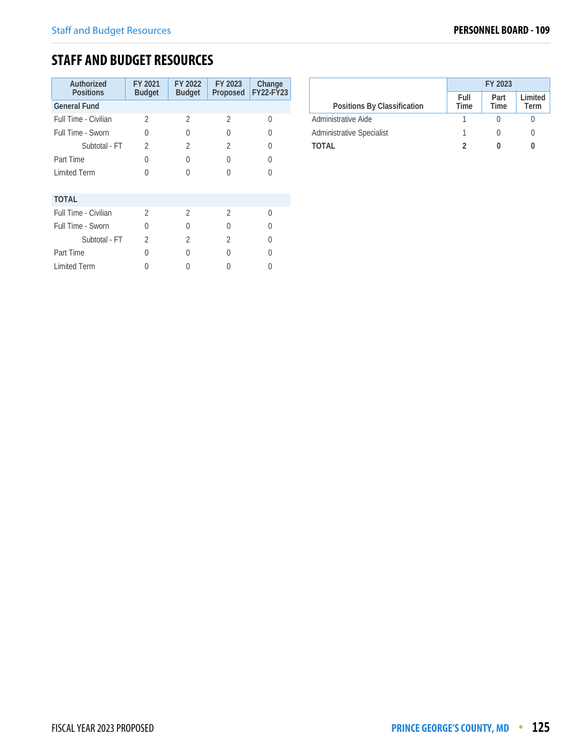## **STAFF AND BUDGET RESOURCES**

| Authorized<br><b>Positions</b> | FY 2021<br><b>Budget</b> | FY 2022<br><b>Budget</b> | FY 2023<br>Proposed | Change<br>FY22-FY23 |
|--------------------------------|--------------------------|--------------------------|---------------------|---------------------|
| <b>General Fund</b>            |                          |                          |                     |                     |
| Full Time - Civilian           | 2                        | $\mathfrak{D}$           | 2                   | 0                   |
| Full Time - Sworn              | 0                        | U                        | U                   | 0                   |
| Subtotal - FT                  | $\mathfrak{D}$           | $\overline{2}$           | 2                   | 0                   |
| Part Time                      | 0                        | Λ                        | U                   | 0                   |
| <b>Limited Term</b>            | O                        | ∩                        | U                   | 0                   |
| <b>TOTAL</b>                   |                          |                          |                     |                     |
| Full Time - Civilian           | $\mathcal{D}$            | $\mathfrak{D}$           | $\mathfrak{D}$      | $\Omega$            |
| Full Time - Sworn              | 0                        | U                        | U                   | $\left( \right)$    |
| Subtotal - FT                  | $\mathfrak{D}$           | $\mathfrak{D}$           | $\mathfrak{D}$      | 0                   |
| Part Time                      | 0                        |                          | U                   |                     |
| <b>Limited Term</b>            |                          |                          |                     |                     |

|                                  | FY 2023      |              |                 |
|----------------------------------|--------------|--------------|-----------------|
| Positions By Classification      | Full<br>Time | Part<br>Time | Limited<br>Term |
| Administrative Aide              |              |              |                 |
| <b>Administrative Specialist</b> |              |              |                 |
| TOTAI                            |              |              |                 |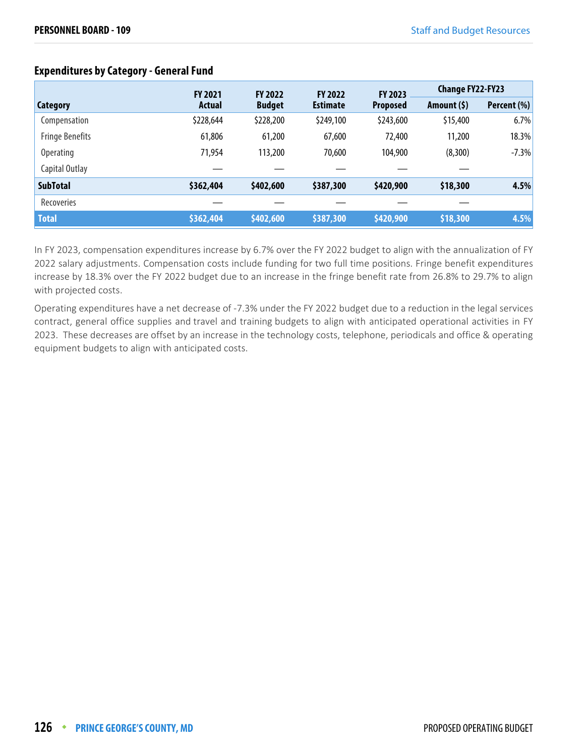|                        | <b>FY 2021</b> | <b>FY 2022</b> | <b>FY 2022</b>  | FY 2023         |              | <b>Change FY22-FY23</b> |  |
|------------------------|----------------|----------------|-----------------|-----------------|--------------|-------------------------|--|
| Category               | <b>Actual</b>  | <b>Budget</b>  | <b>Estimate</b> | <b>Proposed</b> | Amount $(5)$ | Percent (%)             |  |
| Compensation           | \$228,644      | \$228,200      | \$249,100       | \$243,600       | \$15,400     | 6.7%                    |  |
| <b>Fringe Benefits</b> | 61,806         | 61,200         | 67,600          | 72,400          | 11,200       | 18.3%                   |  |
| <b>Operating</b>       | 71,954         | 113,200        | 70,600          | 104,900         | (8,300)      | $-7.3%$                 |  |
| Capital Outlay         |                |                |                 |                 |              |                         |  |
| <b>SubTotal</b>        | \$362,404      | \$402,600      | \$387,300       | \$420,900       | \$18,300     | 4.5%                    |  |
| <b>Recoveries</b>      |                |                |                 |                 |              |                         |  |
| <b>Total</b>           | \$362,404      | \$402,600      | \$387,300       | \$420,900       | \$18,300     | 4.5%                    |  |

#### **Expenditures by Category - General Fund**

In FY 2023, compensation expenditures increase by 6.7% over the FY 2022 budget to align with the annualization of FY 2022 salary adjustments. Compensation costs include funding for two full time positions. Fringe benefit expenditures increase by 18.3% over the FY 2022 budget due to an increase in the fringe benefit rate from 26.8% to 29.7% to align with projected costs.

Operating expenditures have a net decrease of -7.3% under the FY 2022 budget due to a reduction in the legal services contract, general office supplies and travel and training budgets to align with anticipated operational activities in FY 2023. These decreases are offset by an increase in the technology costs, telephone, periodicals and office & operating equipment budgets to align with anticipated costs.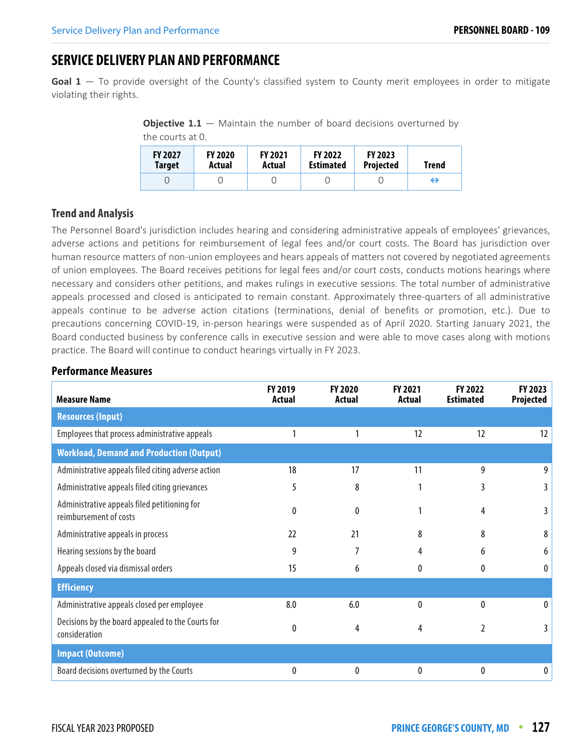## **SERVICE DELIVERY PLAN AND PERFORMANCE**

Goal 1 – To provide oversight of the County's classified system to County merit employees in order to mitigate violating their rights.

**Objective 1.1** – Maintain the number of board decisions overturned by the courts at 0.

| <b>FY 2027</b><br><b>Target</b> | <b>FY 2020</b><br>Actual | <b>FY 2021</b><br>Actual | <b>FY 2022</b><br><b>Estimated</b> | <b>FY 2023</b><br><b>Projected</b> | Trend |
|---------------------------------|--------------------------|--------------------------|------------------------------------|------------------------------------|-------|
|                                 |                          |                          |                                    |                                    | ⊖     |

#### **Trend and Analysis**

The Personnel Board's jurisdiction includes hearing and considering administrative appeals of employees' grievances, adverse actions and petitions for reimbursement of legal fees and/or court costs. The Board has jurisdiction over human resource matters of non-union employees and hears appeals of matters not covered by negotiated agreements of union employees. The Board receives petitions for legal fees and/or court costs, conducts motions hearings where necessary and considers other petitions, and makes rulings in executive sessions. The total number of administrative appeals processed and closed is anticipated to remain constant. Approximately three-quarters of all administrative appeals continue to be adverse action citations (terminations, denial of benefits or promotion, etc.). Due to precautions concerning COVID-19, in-person hearings were suspended as of April 2020. Starting January 2021, the Board conducted business by conference calls in executive session and were able to move cases along with motions practice. The Board will continue to conduct hearings virtually in FY 2023.

| <b>Measure Name</b>                                                    | FY 2019<br><b>Actual</b> | FY 2020<br><b>Actual</b> | FY 2021<br>Actual | FY 2022<br><b>Estimated</b> | FY 2023<br>Projected |
|------------------------------------------------------------------------|--------------------------|--------------------------|-------------------|-----------------------------|----------------------|
| <b>Resources (Input)</b>                                               |                          |                          |                   |                             |                      |
| Employees that process administrative appeals                          |                          |                          | 12                | 12                          | $12 \overline{ }$    |
| <b>Workload, Demand and Production (Output)</b>                        |                          |                          |                   |                             |                      |
| Administrative appeals filed citing adverse action                     | 18                       | 17                       | 11                | 9                           | 9                    |
| Administrative appeals filed citing grievances                         | 5                        | 8                        |                   | 3                           |                      |
| Administrative appeals filed petitioning for<br>reimbursement of costs | 0                        | $\theta$                 |                   | 4                           |                      |
| Administrative appeals in process                                      | 22                       | 21                       | 8                 | 8                           | 8                    |
| Hearing sessions by the board                                          | 9                        | 7                        | 4                 | 6                           | 6                    |
| Appeals closed via dismissal orders                                    | 15                       | 6                        | 0                 | 0                           | $\bf{0}$             |
| <b>Efficiency</b>                                                      |                          |                          |                   |                             |                      |
| Administrative appeals closed per employee                             | 8.0                      | 6.0                      | $\mathbf{0}$      | $\Omega$                    | 0                    |
| Decisions by the board appealed to the Courts for<br>consideration     | 0                        | 4                        | 4                 | $\overline{2}$              |                      |
| <b>Impact (Outcome)</b>                                                |                          |                          |                   |                             |                      |
| Board decisions overturned by the Courts                               | 0                        | 0                        | $\mathbf{0}$      | 0                           | 0                    |

#### **Performance Measures**